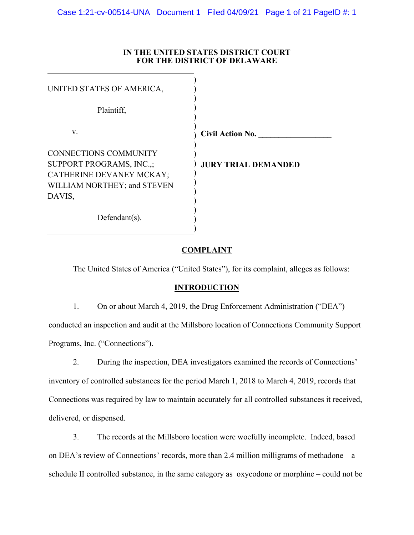| <b>FOR THE DISTRICT OF DELAWARE</b> |                            |
|-------------------------------------|----------------------------|
| UNITED STATES OF AMERICA,           |                            |
| Plaintiff,                          |                            |
| V.                                  | <b>Civil Action No.</b>    |
| <b>CONNECTIONS COMMUNITY</b>        |                            |
| SUPPORT PROGRAMS, INC.,;            | <b>JURY TRIAL DEMANDED</b> |
| CATHERINE DEVANEY MCKAY;            |                            |
| WILLIAM NORTHEY; and STEVEN         |                            |
| DAVIS,                              |                            |
| Defendant $(s)$ .                   |                            |

# **IN THE UNITED STATES DISTRICT COURT**

# **COMPLAINT**

The United States of America ("United States"), for its complaint, alleges as follows:

## **INTRODUCTION**

1. On or about March 4, 2019, the Drug Enforcement Administration ("DEA")

conducted an inspection and audit at the Millsboro location of Connections Community Support Programs, Inc. ("Connections").

2. During the inspection, DEA investigators examined the records of Connections' inventory of controlled substances for the period March 1, 2018 to March 4, 2019, records that Connections was required by law to maintain accurately for all controlled substances it received, delivered, or dispensed.

3. The records at the Millsboro location were woefully incomplete. Indeed, based on DEA's review of Connections' records, more than 2.4 million milligrams of methadone – a schedule II controlled substance, in the same category as oxycodone or morphine – could not be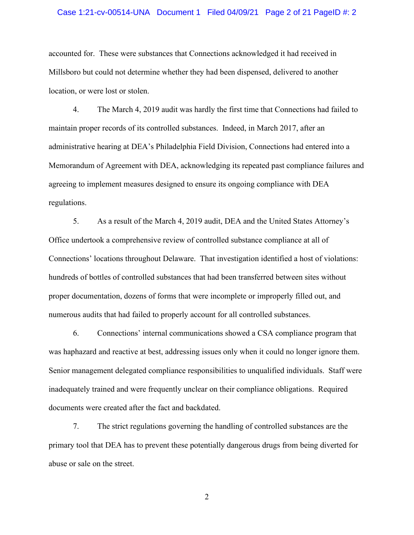#### Case 1:21-cv-00514-UNA Document 1 Filed 04/09/21 Page 2 of 21 PageID #: 2

accounted for. These were substances that Connections acknowledged it had received in Millsboro but could not determine whether they had been dispensed, delivered to another location, or were lost or stolen.

4. The March 4, 2019 audit was hardly the first time that Connections had failed to maintain proper records of its controlled substances. Indeed, in March 2017, after an administrative hearing at DEA's Philadelphia Field Division, Connections had entered into a Memorandum of Agreement with DEA, acknowledging its repeated past compliance failures and agreeing to implement measures designed to ensure its ongoing compliance with DEA regulations.

5. As a result of the March 4, 2019 audit, DEA and the United States Attorney's Office undertook a comprehensive review of controlled substance compliance at all of Connections' locations throughout Delaware. That investigation identified a host of violations: hundreds of bottles of controlled substances that had been transferred between sites without proper documentation, dozens of forms that were incomplete or improperly filled out, and numerous audits that had failed to properly account for all controlled substances.

6. Connections' internal communications showed a CSA compliance program that was haphazard and reactive at best, addressing issues only when it could no longer ignore them. Senior management delegated compliance responsibilities to unqualified individuals. Staff were inadequately trained and were frequently unclear on their compliance obligations. Required documents were created after the fact and backdated.

7. The strict regulations governing the handling of controlled substances are the primary tool that DEA has to prevent these potentially dangerous drugs from being diverted for abuse or sale on the street.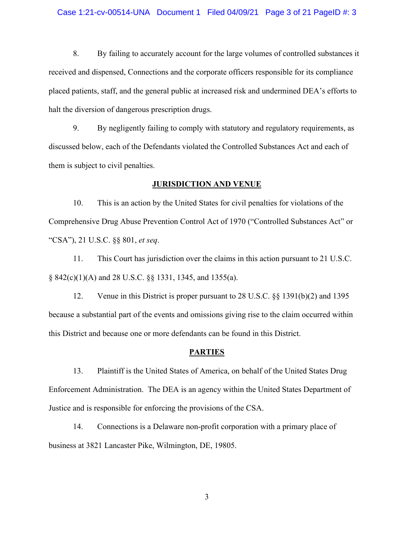#### Case 1:21-cv-00514-UNA Document 1 Filed 04/09/21 Page 3 of 21 PageID #: 3

8. By failing to accurately account for the large volumes of controlled substances it received and dispensed, Connections and the corporate officers responsible for its compliance placed patients, staff, and the general public at increased risk and undermined DEA's efforts to halt the diversion of dangerous prescription drugs.

9. By negligently failing to comply with statutory and regulatory requirements, as discussed below, each of the Defendants violated the Controlled Substances Act and each of them is subject to civil penalties.

#### **JURISDICTION AND VENUE**

10. This is an action by the United States for civil penalties for violations of the Comprehensive Drug Abuse Prevention Control Act of 1970 ("Controlled Substances Act" or "CSA"), 21 U.S.C. §§ 801, *et seq*.

11. This Court has jurisdiction over the claims in this action pursuant to 21 U.S.C. § 842(c)(1)(A) and 28 U.S.C. §§ 1331, 1345, and 1355(a).

12. Venue in this District is proper pursuant to 28 U.S.C. §§ 1391(b)(2) and 1395 because a substantial part of the events and omissions giving rise to the claim occurred within this District and because one or more defendants can be found in this District.

#### **PARTIES**

13. Plaintiff is the United States of America, on behalf of the United States Drug Enforcement Administration. The DEA is an agency within the United States Department of Justice and is responsible for enforcing the provisions of the CSA.

14. Connections is a Delaware non-profit corporation with a primary place of business at 3821 Lancaster Pike, Wilmington, DE, 19805.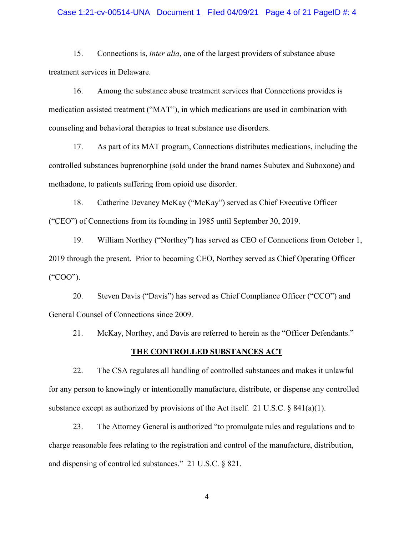#### Case 1:21-cv-00514-UNA Document 1 Filed 04/09/21 Page 4 of 21 PageID #: 4

15. Connections is, *inter alia*, one of the largest providers of substance abuse treatment services in Delaware.

16. Among the substance abuse treatment services that Connections provides is medication assisted treatment ("MAT"), in which medications are used in combination with counseling and behavioral therapies to treat substance use disorders.

17. As part of its MAT program, Connections distributes medications, including the controlled substances buprenorphine (sold under the brand names Subutex and Suboxone) and methadone, to patients suffering from opioid use disorder.

18. Catherine Devaney McKay ("McKay") served as Chief Executive Officer ("CEO") of Connections from its founding in 1985 until September 30, 2019.

19. William Northey ("Northey") has served as CEO of Connections from October 1, 2019 through the present. Prior to becoming CEO, Northey served as Chief Operating Officer ("COO").

20. Steven Davis ("Davis") has served as Chief Compliance Officer ("CCO") and General Counsel of Connections since 2009.

21. McKay, Northey, and Davis are referred to herein as the "Officer Defendants."

## **THE CONTROLLED SUBSTANCES ACT**

22. The CSA regulates all handling of controlled substances and makes it unlawful for any person to knowingly or intentionally manufacture, distribute, or dispense any controlled substance except as authorized by provisions of the Act itself. 21 U.S.C.  $\S$  841(a)(1).

23. The Attorney General is authorized "to promulgate rules and regulations and to charge reasonable fees relating to the registration and control of the manufacture, distribution, and dispensing of controlled substances." 21 U.S.C. § 821.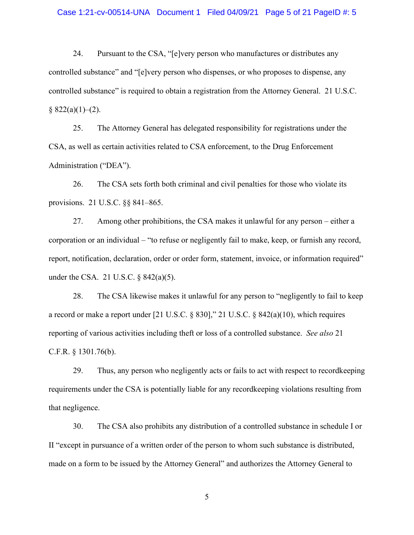#### Case 1:21-cv-00514-UNA Document 1 Filed 04/09/21 Page 5 of 21 PageID #: 5

24. Pursuant to the CSA, "[e]very person who manufactures or distributes any controlled substance" and "[e]very person who dispenses, or who proposes to dispense, any controlled substance" is required to obtain a registration from the Attorney General. 21 U.S.C.  $§ 822(a)(1)–(2).$ 

25. The Attorney General has delegated responsibility for registrations under the CSA, as well as certain activities related to CSA enforcement, to the Drug Enforcement Administration ("DEA").

26. The CSA sets forth both criminal and civil penalties for those who violate its provisions. 21 U.S.C. §§ 841–865.

27. Among other prohibitions, the CSA makes it unlawful for any person – either a corporation or an individual – "to refuse or negligently fail to make, keep, or furnish any record, report, notification, declaration, order or order form, statement, invoice, or information required" under the CSA. 21 U.S.C. § 842(a)(5).

28. The CSA likewise makes it unlawful for any person to "negligently to fail to keep a record or make a report under [21 U.S.C. § 830]," 21 U.S.C. § 842(a)(10), which requires reporting of various activities including theft or loss of a controlled substance. *See also* 21 C.F.R. § 1301.76(b).

29. Thus, any person who negligently acts or fails to act with respect to recordkeeping requirements under the CSA is potentially liable for any recordkeeping violations resulting from that negligence.

30. The CSA also prohibits any distribution of a controlled substance in schedule I or II "except in pursuance of a written order of the person to whom such substance is distributed, made on a form to be issued by the Attorney General" and authorizes the Attorney General to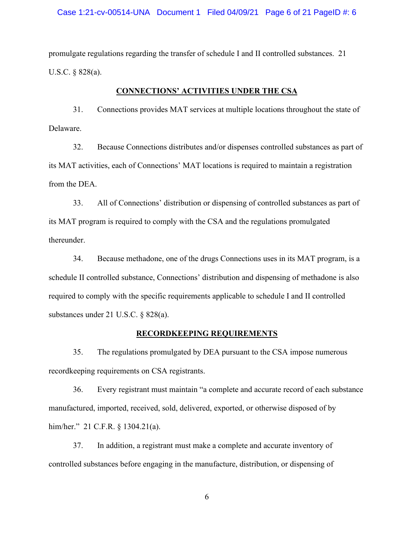#### Case 1:21-cv-00514-UNA Document 1 Filed 04/09/21 Page 6 of 21 PageID #: 6

promulgate regulations regarding the transfer of schedule I and II controlled substances. 21 U.S.C. § 828(a).

# **CONNECTIONS' ACTIVITIES UNDER THE CSA**

31. Connections provides MAT services at multiple locations throughout the state of Delaware.

32. Because Connections distributes and/or dispenses controlled substances as part of its MAT activities, each of Connections' MAT locations is required to maintain a registration from the DEA.

33. All of Connections' distribution or dispensing of controlled substances as part of its MAT program is required to comply with the CSA and the regulations promulgated thereunder.

34. Because methadone, one of the drugs Connections uses in its MAT program, is a schedule II controlled substance, Connections' distribution and dispensing of methadone is also required to comply with the specific requirements applicable to schedule I and II controlled substances under 21 U.S.C. § 828(a).

#### **RECORDKEEPING REQUIREMENTS**

35. The regulations promulgated by DEA pursuant to the CSA impose numerous recordkeeping requirements on CSA registrants.

36. Every registrant must maintain "a complete and accurate record of each substance manufactured, imported, received, sold, delivered, exported, or otherwise disposed of by him/her." 21 C.F.R. § 1304.21(a).

37. In addition, a registrant must make a complete and accurate inventory of controlled substances before engaging in the manufacture, distribution, or dispensing of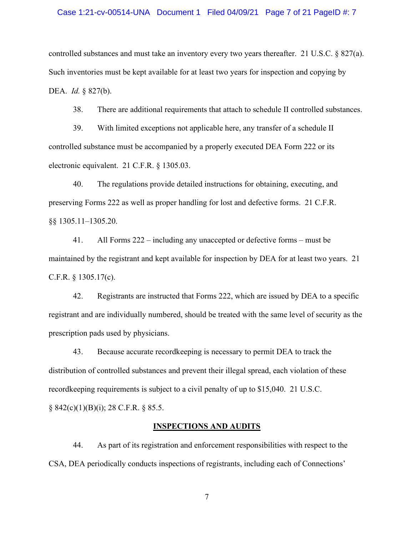#### Case 1:21-cv-00514-UNA Document 1 Filed 04/09/21 Page 7 of 21 PageID #: 7

controlled substances and must take an inventory every two years thereafter. 21 U.S.C. § 827(a). Such inventories must be kept available for at least two years for inspection and copying by DEA. *Id.* § 827(b).

38. There are additional requirements that attach to schedule II controlled substances.

39. With limited exceptions not applicable here, any transfer of a schedule II controlled substance must be accompanied by a properly executed DEA Form 222 or its electronic equivalent. 21 C.F.R. § 1305.03.

40. The regulations provide detailed instructions for obtaining, executing, and preserving Forms 222 as well as proper handling for lost and defective forms. 21 C.F.R. §§ 1305.11–1305.20.

41. All Forms 222 – including any unaccepted or defective forms – must be maintained by the registrant and kept available for inspection by DEA for at least two years. 21 C.F.R. § 1305.17(c).

42. Registrants are instructed that Forms 222, which are issued by DEA to a specific registrant and are individually numbered, should be treated with the same level of security as the prescription pads used by physicians.

43. Because accurate recordkeeping is necessary to permit DEA to track the distribution of controlled substances and prevent their illegal spread, each violation of these recordkeeping requirements is subject to a civil penalty of up to \$15,040. 21 U.S.C.

 $§ 842(c)(1)(B)(i); 28 C.F.R. § 85.5.$ 

#### **INSPECTIONS AND AUDITS**

44. As part of its registration and enforcement responsibilities with respect to the CSA, DEA periodically conducts inspections of registrants, including each of Connections'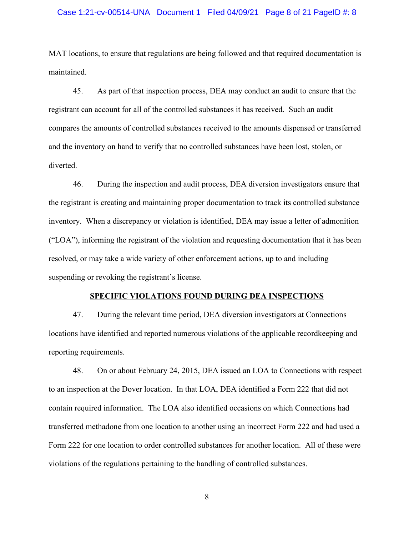#### Case 1:21-cv-00514-UNA Document 1 Filed 04/09/21 Page 8 of 21 PageID #: 8

MAT locations, to ensure that regulations are being followed and that required documentation is maintained.

45. As part of that inspection process, DEA may conduct an audit to ensure that the registrant can account for all of the controlled substances it has received. Such an audit compares the amounts of controlled substances received to the amounts dispensed or transferred and the inventory on hand to verify that no controlled substances have been lost, stolen, or diverted.

46. During the inspection and audit process, DEA diversion investigators ensure that the registrant is creating and maintaining proper documentation to track its controlled substance inventory. When a discrepancy or violation is identified, DEA may issue a letter of admonition ("LOA"), informing the registrant of the violation and requesting documentation that it has been resolved, or may take a wide variety of other enforcement actions, up to and including suspending or revoking the registrant's license.

#### **SPECIFIC VIOLATIONS FOUND DURING DEA INSPECTIONS**

47. During the relevant time period, DEA diversion investigators at Connections locations have identified and reported numerous violations of the applicable recordkeeping and reporting requirements.

48. On or about February 24, 2015, DEA issued an LOA to Connections with respect to an inspection at the Dover location. In that LOA, DEA identified a Form 222 that did not contain required information. The LOA also identified occasions on which Connections had transferred methadone from one location to another using an incorrect Form 222 and had used a Form 222 for one location to order controlled substances for another location. All of these were violations of the regulations pertaining to the handling of controlled substances.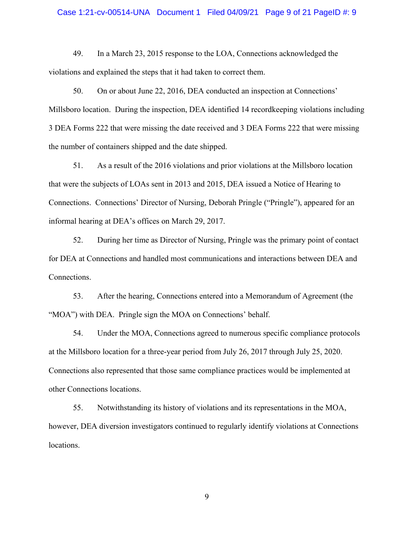#### Case 1:21-cv-00514-UNA Document 1 Filed 04/09/21 Page 9 of 21 PageID #: 9

49. In a March 23, 2015 response to the LOA, Connections acknowledged the violations and explained the steps that it had taken to correct them.

50. On or about June 22, 2016, DEA conducted an inspection at Connections' Millsboro location. During the inspection, DEA identified 14 recordkeeping violations including 3 DEA Forms 222 that were missing the date received and 3 DEA Forms 222 that were missing the number of containers shipped and the date shipped.

51. As a result of the 2016 violations and prior violations at the Millsboro location that were the subjects of LOAs sent in 2013 and 2015, DEA issued a Notice of Hearing to Connections. Connections' Director of Nursing, Deborah Pringle ("Pringle"), appeared for an informal hearing at DEA's offices on March 29, 2017.

52. During her time as Director of Nursing, Pringle was the primary point of contact for DEA at Connections and handled most communications and interactions between DEA and Connections.

53. After the hearing, Connections entered into a Memorandum of Agreement (the "MOA") with DEA. Pringle sign the MOA on Connections' behalf.

54. Under the MOA, Connections agreed to numerous specific compliance protocols at the Millsboro location for a three-year period from July 26, 2017 through July 25, 2020. Connections also represented that those same compliance practices would be implemented at other Connections locations.

55. Notwithstanding its history of violations and its representations in the MOA, however, DEA diversion investigators continued to regularly identify violations at Connections locations.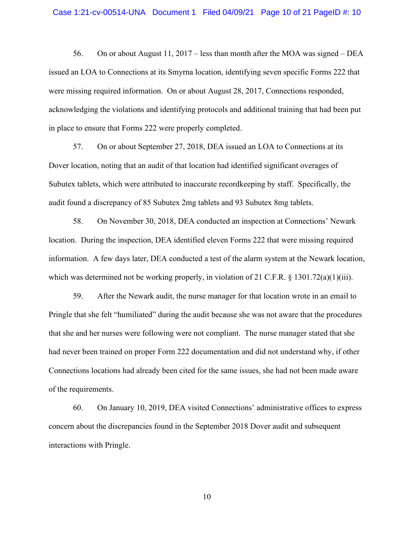56. On or about August 11, 2017 – less than month after the MOA was signed – DEA issued an LOA to Connections at its Smyrna location, identifying seven specific Forms 222 that were missing required information. On or about August 28, 2017, Connections responded, acknowledging the violations and identifying protocols and additional training that had been put in place to ensure that Forms 222 were properly completed.

57. On or about September 27, 2018, DEA issued an LOA to Connections at its Dover location, noting that an audit of that location had identified significant overages of Subutex tablets, which were attributed to inaccurate recordkeeping by staff. Specifically, the audit found a discrepancy of 85 Subutex 2mg tablets and 93 Subutex 8mg tablets.

58. On November 30, 2018, DEA conducted an inspection at Connections' Newark location. During the inspection, DEA identified eleven Forms 222 that were missing required information. A few days later, DEA conducted a test of the alarm system at the Newark location, which was determined not be working properly, in violation of 21 C.F.R. § 1301.72(a)(1)(iii).

59. After the Newark audit, the nurse manager for that location wrote in an email to Pringle that she felt "humiliated" during the audit because she was not aware that the procedures that she and her nurses were following were not compliant. The nurse manager stated that she had never been trained on proper Form 222 documentation and did not understand why, if other Connections locations had already been cited for the same issues, she had not been made aware of the requirements.

60. On January 10, 2019, DEA visited Connections' administrative offices to express concern about the discrepancies found in the September 2018 Dover audit and subsequent interactions with Pringle.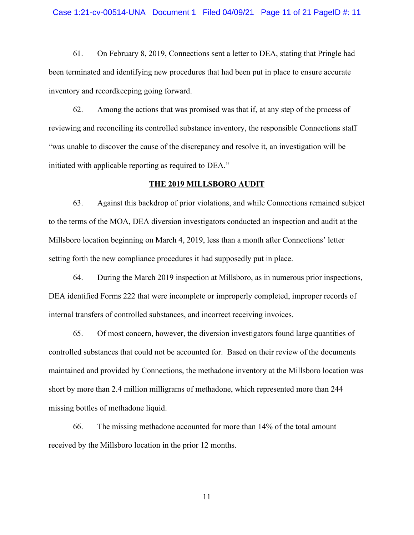61. On February 8, 2019, Connections sent a letter to DEA, stating that Pringle had been terminated and identifying new procedures that had been put in place to ensure accurate inventory and recordkeeping going forward.

62. Among the actions that was promised was that if, at any step of the process of reviewing and reconciling its controlled substance inventory, the responsible Connections staff "was unable to discover the cause of the discrepancy and resolve it, an investigation will be initiated with applicable reporting as required to DEA."

#### **THE 2019 MILLSBORO AUDIT**

63. Against this backdrop of prior violations, and while Connections remained subject to the terms of the MOA, DEA diversion investigators conducted an inspection and audit at the Millsboro location beginning on March 4, 2019, less than a month after Connections' letter setting forth the new compliance procedures it had supposedly put in place.

64. During the March 2019 inspection at Millsboro, as in numerous prior inspections, DEA identified Forms 222 that were incomplete or improperly completed, improper records of internal transfers of controlled substances, and incorrect receiving invoices.

65. Of most concern, however, the diversion investigators found large quantities of controlled substances that could not be accounted for. Based on their review of the documents maintained and provided by Connections, the methadone inventory at the Millsboro location was short by more than 2.4 million milligrams of methadone, which represented more than 244 missing bottles of methadone liquid.

66. The missing methadone accounted for more than 14% of the total amount received by the Millsboro location in the prior 12 months.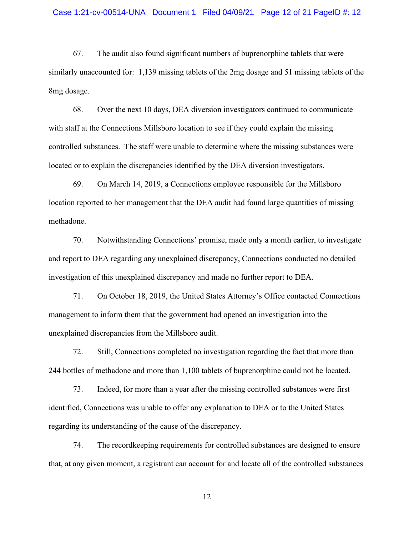#### Case 1:21-cv-00514-UNA Document 1 Filed 04/09/21 Page 12 of 21 PageID #: 12

67. The audit also found significant numbers of buprenorphine tablets that were similarly unaccounted for: 1,139 missing tablets of the 2mg dosage and 51 missing tablets of the 8mg dosage.

68. Over the next 10 days, DEA diversion investigators continued to communicate with staff at the Connections Millsboro location to see if they could explain the missing controlled substances. The staff were unable to determine where the missing substances were located or to explain the discrepancies identified by the DEA diversion investigators.

69. On March 14, 2019, a Connections employee responsible for the Millsboro location reported to her management that the DEA audit had found large quantities of missing methadone.

70. Notwithstanding Connections' promise, made only a month earlier, to investigate and report to DEA regarding any unexplained discrepancy, Connections conducted no detailed investigation of this unexplained discrepancy and made no further report to DEA.

71. On October 18, 2019, the United States Attorney's Office contacted Connections management to inform them that the government had opened an investigation into the unexplained discrepancies from the Millsboro audit.

72. Still, Connections completed no investigation regarding the fact that more than 244 bottles of methadone and more than 1,100 tablets of buprenorphine could not be located.

73. Indeed, for more than a year after the missing controlled substances were first identified, Connections was unable to offer any explanation to DEA or to the United States regarding its understanding of the cause of the discrepancy.

74. The recordkeeping requirements for controlled substances are designed to ensure that, at any given moment, a registrant can account for and locate all of the controlled substances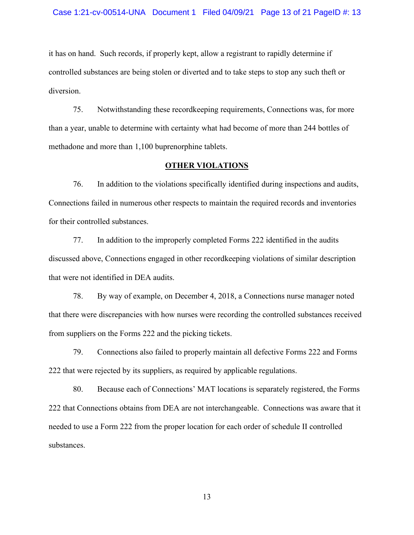it has on hand. Such records, if properly kept, allow a registrant to rapidly determine if controlled substances are being stolen or diverted and to take steps to stop any such theft or diversion.

75. Notwithstanding these recordkeeping requirements, Connections was, for more than a year, unable to determine with certainty what had become of more than 244 bottles of methadone and more than 1,100 buprenorphine tablets.

## **OTHER VIOLATIONS**

76. In addition to the violations specifically identified during inspections and audits, Connections failed in numerous other respects to maintain the required records and inventories for their controlled substances.

77. In addition to the improperly completed Forms 222 identified in the audits discussed above, Connections engaged in other recordkeeping violations of similar description that were not identified in DEA audits.

78. By way of example, on December 4, 2018, a Connections nurse manager noted that there were discrepancies with how nurses were recording the controlled substances received from suppliers on the Forms 222 and the picking tickets.

79. Connections also failed to properly maintain all defective Forms 222 and Forms 222 that were rejected by its suppliers, as required by applicable regulations.

80. Because each of Connections' MAT locations is separately registered, the Forms 222 that Connections obtains from DEA are not interchangeable. Connections was aware that it needed to use a Form 222 from the proper location for each order of schedule II controlled substances.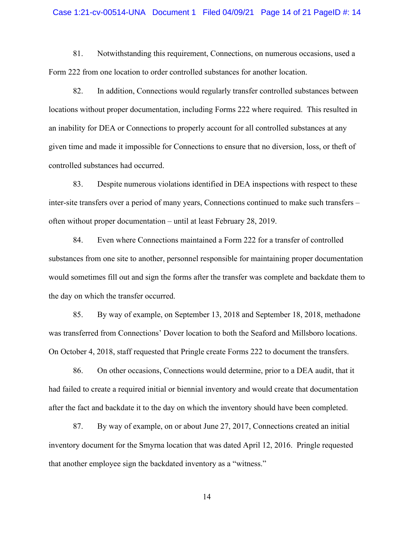#### Case 1:21-cv-00514-UNA Document 1 Filed 04/09/21 Page 14 of 21 PageID #: 14

81. Notwithstanding this requirement, Connections, on numerous occasions, used a Form 222 from one location to order controlled substances for another location.

82. In addition, Connections would regularly transfer controlled substances between locations without proper documentation, including Forms 222 where required. This resulted in an inability for DEA or Connections to properly account for all controlled substances at any given time and made it impossible for Connections to ensure that no diversion, loss, or theft of controlled substances had occurred.

83. Despite numerous violations identified in DEA inspections with respect to these inter-site transfers over a period of many years, Connections continued to make such transfers – often without proper documentation – until at least February 28, 2019.

84. Even where Connections maintained a Form 222 for a transfer of controlled substances from one site to another, personnel responsible for maintaining proper documentation would sometimes fill out and sign the forms after the transfer was complete and backdate them to the day on which the transfer occurred.

85. By way of example, on September 13, 2018 and September 18, 2018, methadone was transferred from Connections' Dover location to both the Seaford and Millsboro locations. On October 4, 2018, staff requested that Pringle create Forms 222 to document the transfers.

86. On other occasions, Connections would determine, prior to a DEA audit, that it had failed to create a required initial or biennial inventory and would create that documentation after the fact and backdate it to the day on which the inventory should have been completed.

87. By way of example, on or about June 27, 2017, Connections created an initial inventory document for the Smyrna location that was dated April 12, 2016. Pringle requested that another employee sign the backdated inventory as a "witness."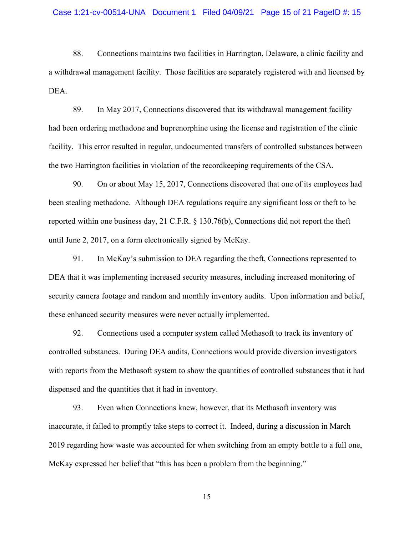#### Case 1:21-cv-00514-UNA Document 1 Filed 04/09/21 Page 15 of 21 PageID #: 15

88. Connections maintains two facilities in Harrington, Delaware, a clinic facility and a withdrawal management facility. Those facilities are separately registered with and licensed by DEA.

89. In May 2017, Connections discovered that its withdrawal management facility had been ordering methadone and buprenorphine using the license and registration of the clinic facility. This error resulted in regular, undocumented transfers of controlled substances between the two Harrington facilities in violation of the recordkeeping requirements of the CSA.

90. On or about May 15, 2017, Connections discovered that one of its employees had been stealing methadone. Although DEA regulations require any significant loss or theft to be reported within one business day, 21 C.F.R. § 130.76(b), Connections did not report the theft until June 2, 2017, on a form electronically signed by McKay.

91. In McKay's submission to DEA regarding the theft, Connections represented to DEA that it was implementing increased security measures, including increased monitoring of security camera footage and random and monthly inventory audits. Upon information and belief, these enhanced security measures were never actually implemented.

92. Connections used a computer system called Methasoft to track its inventory of controlled substances. During DEA audits, Connections would provide diversion investigators with reports from the Methasoft system to show the quantities of controlled substances that it had dispensed and the quantities that it had in inventory.

93. Even when Connections knew, however, that its Methasoft inventory was inaccurate, it failed to promptly take steps to correct it. Indeed, during a discussion in March 2019 regarding how waste was accounted for when switching from an empty bottle to a full one, McKay expressed her belief that "this has been a problem from the beginning."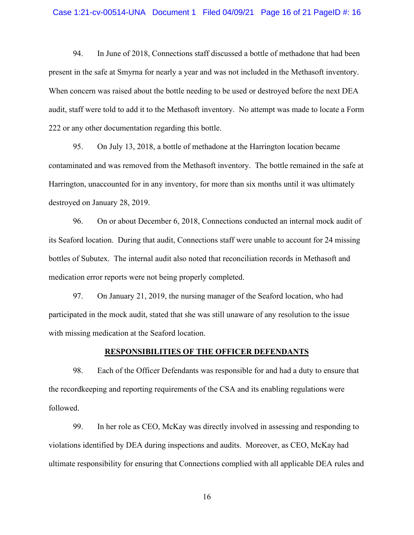94. In June of 2018, Connections staff discussed a bottle of methadone that had been present in the safe at Smyrna for nearly a year and was not included in the Methasoft inventory. When concern was raised about the bottle needing to be used or destroyed before the next DEA audit, staff were told to add it to the Methasoft inventory. No attempt was made to locate a Form 222 or any other documentation regarding this bottle.

95. On July 13, 2018, a bottle of methadone at the Harrington location became contaminated and was removed from the Methasoft inventory. The bottle remained in the safe at Harrington, unaccounted for in any inventory, for more than six months until it was ultimately destroyed on January 28, 2019.

96. On or about December 6, 2018, Connections conducted an internal mock audit of its Seaford location. During that audit, Connections staff were unable to account for 24 missing bottles of Subutex. The internal audit also noted that reconciliation records in Methasoft and medication error reports were not being properly completed.

97. On January 21, 2019, the nursing manager of the Seaford location, who had participated in the mock audit, stated that she was still unaware of any resolution to the issue with missing medication at the Seaford location.

## **RESPONSIBILITIES OF THE OFFICER DEFENDANTS**

98. Each of the Officer Defendants was responsible for and had a duty to ensure that the recordkeeping and reporting requirements of the CSA and its enabling regulations were followed.

99. In her role as CEO, McKay was directly involved in assessing and responding to violations identified by DEA during inspections and audits. Moreover, as CEO, McKay had ultimate responsibility for ensuring that Connections complied with all applicable DEA rules and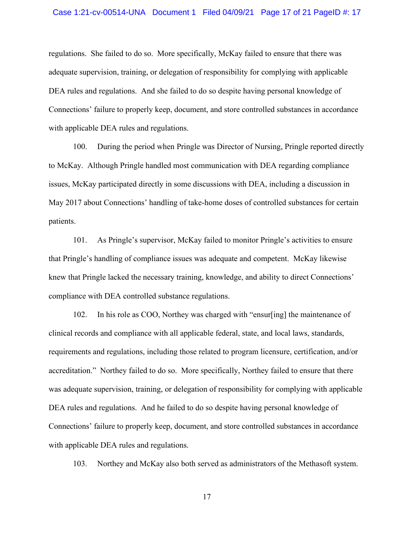#### Case 1:21-cv-00514-UNA Document 1 Filed 04/09/21 Page 17 of 21 PageID #: 17

regulations. She failed to do so. More specifically, McKay failed to ensure that there was adequate supervision, training, or delegation of responsibility for complying with applicable DEA rules and regulations. And she failed to do so despite having personal knowledge of Connections' failure to properly keep, document, and store controlled substances in accordance with applicable DEA rules and regulations.

100. During the period when Pringle was Director of Nursing, Pringle reported directly to McKay. Although Pringle handled most communication with DEA regarding compliance issues, McKay participated directly in some discussions with DEA, including a discussion in May 2017 about Connections' handling of take-home doses of controlled substances for certain patients.

101. As Pringle's supervisor, McKay failed to monitor Pringle's activities to ensure that Pringle's handling of compliance issues was adequate and competent. McKay likewise knew that Pringle lacked the necessary training, knowledge, and ability to direct Connections' compliance with DEA controlled substance regulations.

102. In his role as COO, Northey was charged with "ensur[ing] the maintenance of clinical records and compliance with all applicable federal, state, and local laws, standards, requirements and regulations, including those related to program licensure, certification, and/or accreditation." Northey failed to do so. More specifically, Northey failed to ensure that there was adequate supervision, training, or delegation of responsibility for complying with applicable DEA rules and regulations. And he failed to do so despite having personal knowledge of Connections' failure to properly keep, document, and store controlled substances in accordance with applicable DEA rules and regulations.

103. Northey and McKay also both served as administrators of the Methasoft system.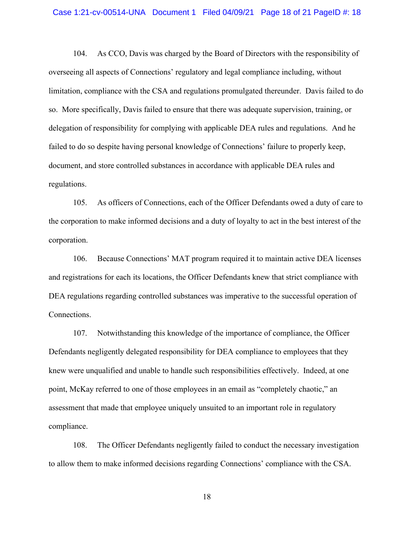#### Case 1:21-cv-00514-UNA Document 1 Filed 04/09/21 Page 18 of 21 PageID #: 18

104. As CCO, Davis was charged by the Board of Directors with the responsibility of overseeing all aspects of Connections' regulatory and legal compliance including, without limitation, compliance with the CSA and regulations promulgated thereunder. Davis failed to do so. More specifically, Davis failed to ensure that there was adequate supervision, training, or delegation of responsibility for complying with applicable DEA rules and regulations. And he failed to do so despite having personal knowledge of Connections' failure to properly keep, document, and store controlled substances in accordance with applicable DEA rules and regulations.

105. As officers of Connections, each of the Officer Defendants owed a duty of care to the corporation to make informed decisions and a duty of loyalty to act in the best interest of the corporation.

106. Because Connections' MAT program required it to maintain active DEA licenses and registrations for each its locations, the Officer Defendants knew that strict compliance with DEA regulations regarding controlled substances was imperative to the successful operation of Connections.

107. Notwithstanding this knowledge of the importance of compliance, the Officer Defendants negligently delegated responsibility for DEA compliance to employees that they knew were unqualified and unable to handle such responsibilities effectively. Indeed, at one point, McKay referred to one of those employees in an email as "completely chaotic," an assessment that made that employee uniquely unsuited to an important role in regulatory compliance.

108. The Officer Defendants negligently failed to conduct the necessary investigation to allow them to make informed decisions regarding Connections' compliance with the CSA.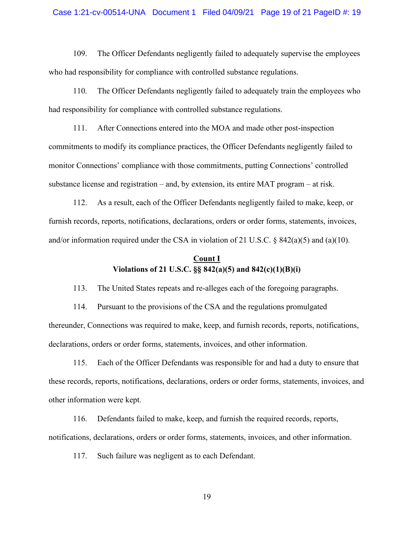#### Case 1:21-cv-00514-UNA Document 1 Filed 04/09/21 Page 19 of 21 PageID #: 19

109. The Officer Defendants negligently failed to adequately supervise the employees who had responsibility for compliance with controlled substance regulations.

110. The Officer Defendants negligently failed to adequately train the employees who had responsibility for compliance with controlled substance regulations.

111. After Connections entered into the MOA and made other post-inspection commitments to modify its compliance practices, the Officer Defendants negligently failed to monitor Connections' compliance with those commitments, putting Connections' controlled substance license and registration – and, by extension, its entire MAT program – at risk.

112. As a result, each of the Officer Defendants negligently failed to make, keep, or furnish records, reports, notifications, declarations, orders or order forms, statements, invoices, and/or information required under the CSA in violation of 21 U.S.C. § 842(a)(5) and (a)(10).

# **Count I Violations of 21 U.S.C. §§ 842(a)(5) and 842(c)(1)(B)(i)**

113. The United States repeats and re-alleges each of the foregoing paragraphs.

114. Pursuant to the provisions of the CSA and the regulations promulgated thereunder, Connections was required to make, keep, and furnish records, reports, notifications, declarations, orders or order forms, statements, invoices, and other information.

115. Each of the Officer Defendants was responsible for and had a duty to ensure that these records, reports, notifications, declarations, orders or order forms, statements, invoices, and other information were kept.

116. Defendants failed to make, keep, and furnish the required records, reports, notifications, declarations, orders or order forms, statements, invoices, and other information.

117. Such failure was negligent as to each Defendant.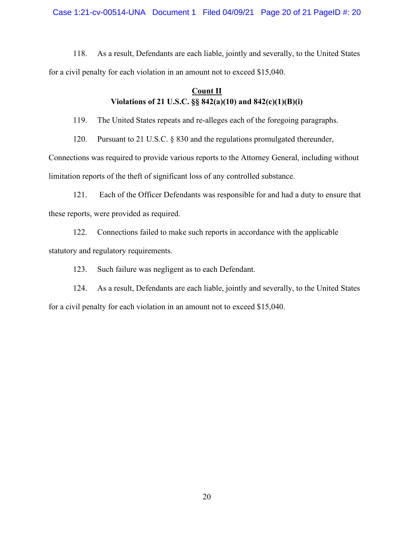Case 1:21-cv-00514-UNA Document 1 Filed 04/09/21 Page 20 of 21 PageID #: 20

118. As a result, Defendants are each liable, jointly and severally, to the United States for a civil penalty for each violation in an amount not to exceed \$15,040.

# **Count II Violations of 21 U.S.C. §§ 842(a)(10) and 842(c)(1)(B)(i)**

119. The United States repeats and re-alleges each of the foregoing paragraphs.

120. Pursuant to 21 U.S.C. § 830 and the regulations promulgated thereunder,

Connections was required to provide various reports to the Attorney General, including without limitation reports of the theft of significant loss of any controlled substance.

121. Each of the Officer Defendants was responsible for and had a duty to ensure that these reports, were provided as required.

122. Connections failed to make such reports in accordance with the applicable statutory and regulatory requirements.

123. Such failure was negligent as to each Defendant.

124. As a result, Defendants are each liable, jointly and severally, to the United States for a civil penalty for each violation in an amount not to exceed \$15,040.